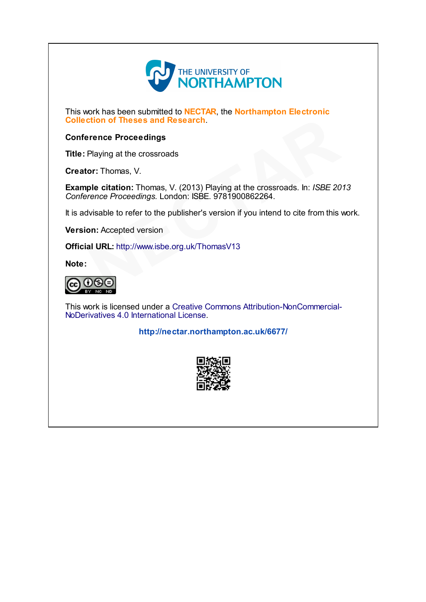

This work has been submitted to **NECTAR**, the **Northampton Electronic** Collection of Theses and Research.

# Conference Proceedings

Title: Playing at the crossroads

Creator: Thomas, V.

Example citation: Thomas, V. (2013) Playing at the crossroads. In: ISBE 2013 Conference Proceedings. London: ISBE. 9781900862264. **Example 18 and Seconds**<br>
Playing at the crossroads<br> **OF Thomas, V.**<br> **ple citation:** Thomas, V. (2013) Playing at the crossroads. In: *ISBE 20*<br> *Ple citation:* Thomas, V. (2013) Playing at the crossroads. In: *ISBE 20*<br>

It is advisable to refer to the publisher's version if you intend to cite from this work.

Version: Accepted version

Official URL: http://www.isbe.org.uk/ThomasV13

Note:



This work is licensed under a Creative Commons [Attribution-NonCommercial-](http://creativecommons.org/licenses/by-nc-nd/4.0/)NoDerivatives 4.0 International License.

<http://nectar.northampton.ac.uk/6677/>

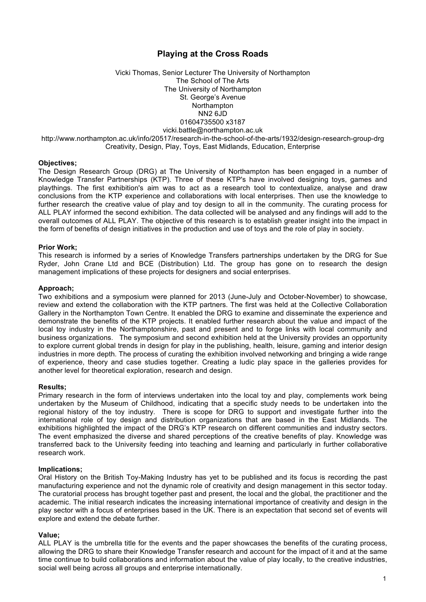# **Playing at the Cross Roads**

Vicki Thomas, Senior Lecturer The University of Northampton The School of The Arts The University of Northampton St. George's Avenue Northampton NN2 6JD 01604735500 x3187 vicki.battle@northampton.ac.uk http://www.northampton.ac.uk/info/20517/research-in-the-school-of-the-arts/1932/design-research-group-drg Creativity, Design, Play, Toys, East Midlands, Education, Enterprise

#### **Objectives;**

The Design Research Group (DRG) at The University of Northampton has been engaged in a number of Knowledge Transfer Partnerships (KTP). Three of these KTP's have involved designing toys, games and playthings. The first exhibition's aim was to act as a research tool to contextualize, analyse and draw conclusions from the KTP experience and collaborations with local enterprises. Then use the knowledge to further research the creative value of play and toy design to all in the community. The curating process for ALL PLAY informed the second exhibition. The data collected will be analysed and any findings will add to the overall outcomes of ALL PLAY. The objective of this research is to establish greater insight into the impact in the form of benefits of design initiatives in the production and use of toys and the role of play in society.

#### **Prior Work;**

This research is informed by a series of Knowledge Transfers partnerships undertaken by the DRG for Sue Ryder, John Crane Ltd and BCE (Distribution) Ltd. The group has gone on to research the design management implications of these projects for designers and social enterprises.

#### **Approach;**

Two exhibitions and a symposium were planned for 2013 (June-July and October-November) to showcase, review and extend the collaboration with the KTP partners. The first was held at the Collective Collaboration Gallery in the Northampton Town Centre. It enabled the DRG to examine and disseminate the experience and demonstrate the benefits of the KTP projects. It enabled further research about the value and impact of the local toy industry in the Northamptonshire, past and present and to forge links with local community and business organizations. The symposium and second exhibition held at the University provides an opportunity to explore current global trends in design for play in the publishing, health, leisure, gaming and interior design industries in more depth. The process of curating the exhibition involved networking and bringing a wide range of experience, theory and case studies together. Creating a ludic play space in the galleries provides for another level for theoretical exploration, research and design.

#### **Results;**

Primary research in the form of interviews undertaken into the local toy and play, complements work being undertaken by the Museum of Childhood, indicating that a specific study needs to be undertaken into the regional history of the toy industry. There is scope for DRG to support and investigate further into the international role of toy design and distribution organizations that are based in the East Midlands. The exhibitions highlighted the impact of the DRG's KTP research on different communities and industry sectors. The event emphasized the diverse and shared perceptions of the creative benefits of play. Knowledge was transferred back to the University feeding into teaching and learning and particularly in further collaborative research work.

#### **Implications;**

Oral History on the British Toy-Making Industry has yet to be published and its focus is recording the past manufacturing experience and not the dynamic role of creativity and design management in this sector today. The curatorial process has brought together past and present, the local and the global, the practitioner and the academic. The initial research indicates the increasing international importance of creativity and design in the play sector with a focus of enterprises based in the UK. There is an expectation that second set of events will explore and extend the debate further.

#### **Value;**

ALL PLAY is the umbrella title for the events and the paper showcases the benefits of the curating process, allowing the DRG to share their Knowledge Transfer research and account for the impact of it and at the same time continue to build collaborations and information about the value of play locally, to the creative industries, social well being across all groups and enterprise internationally.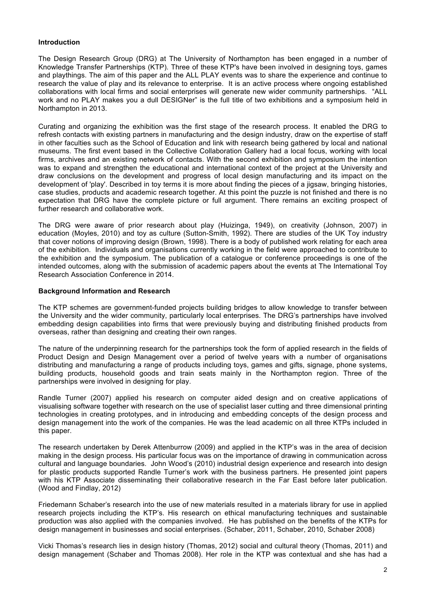## **Introduction**

The Design Research Group (DRG) at The University of Northampton has been engaged in a number of Knowledge Transfer Partnerships (KTP). Three of these KTP's have been involved in designing toys, games and playthings. The aim of this paper and the ALL PLAY events was to share the experience and continue to research the value of play and its relevance to enterprise. It is an active process where ongoing established collaborations with local firms and social enterprises will generate new wider community partnerships. "ALL work and no PLAY makes you a dull DESIGNer" is the full title of two exhibitions and a symposium held in Northampton in 2013.

Curating and organizing the exhibition was the first stage of the research process. It enabled the DRG to refresh contacts with existing partners in manufacturing and the design industry, draw on the expertise of staff in other faculties such as the School of Education and link with research being gathered by local and national museums. The first event based in the Collective Collaboration Gallery had a local focus, working with local firms, archives and an existing network of contacts. With the second exhibition and symposium the intention was to expand and strengthen the educational and international context of the project at the University and draw conclusions on the development and progress of local design manufacturing and its impact on the development of 'play'. Described in toy terms it is more about finding the pieces of a jigsaw, bringing histories, case studies, products and academic research together. At this point the puzzle is not finished and there is no expectation that DRG have the complete picture or full argument. There remains an exciting prospect of further research and collaborative work.

The DRG were aware of prior research about play (Huizinga, 1949), on creativity (Johnson, 2007) in education (Moyles, 2010) and toy as culture (Sutton-Smith, 1992). There are studies of the UK Toy industry that cover notions of improving design (Brown, 1998). There is a body of published work relating for each area of the exhibition. Individuals and organisations currently working in the field were approached to contribute to the exhibition and the symposium. The publication of a catalogue or conference proceedings is one of the intended outcomes, along with the submission of academic papers about the events at The International Toy Research Association Conference in 2014.

## **Background Information and Research**

The KTP schemes are government-funded projects building bridges to allow knowledge to transfer between the University and the wider community, particularly local enterprises. The DRG's partnerships have involved embedding design capabilities into firms that were previously buying and distributing finished products from overseas, rather than designing and creating their own ranges.

The nature of the underpinning research for the partnerships took the form of applied research in the fields of Product Design and Design Management over a period of twelve years with a number of organisations distributing and manufacturing a range of products including toys, games and gifts, signage, phone systems, building products, household goods and train seats mainly in the Northampton region. Three of the partnerships were involved in designing for play.

Randle Turner (2007) applied his research on computer aided design and on creative applications of visualising software together with research on the use of specialist laser cutting and three dimensional printing technologies in creating prototypes, and in introducing and embedding concepts of the design process and design management into the work of the companies. He was the lead academic on all three KTPs included in this paper.

The research undertaken by Derek Attenburrow (2009) and applied in the KTP's was in the area of decision making in the design process. His particular focus was on the importance of drawing in communication across cultural and language boundaries. John Wood's (2010) industrial design experience and research into design for plastic products supported Randle Turner's work with the business partners. He presented joint papers with his KTP Associate disseminating their collaborative research in the Far East before later publication. (Wood and Findlay, 2012)

Friedemann Schaber's research into the use of new materials resulted in a materials library for use in applied research projects including the KTP's. His research on ethical manufacturing techniques and sustainable production was also applied with the companies involved. He has published on the benefits of the KTPs for design management in businesses and social enterprises. (Schaber, 2011, Schaber, 2010, Schaber 2008)

Vicki Thomas's research lies in design history (Thomas, 2012) social and cultural theory (Thomas, 2011) and design management (Schaber and Thomas 2008). Her role in the KTP was contextual and she has had a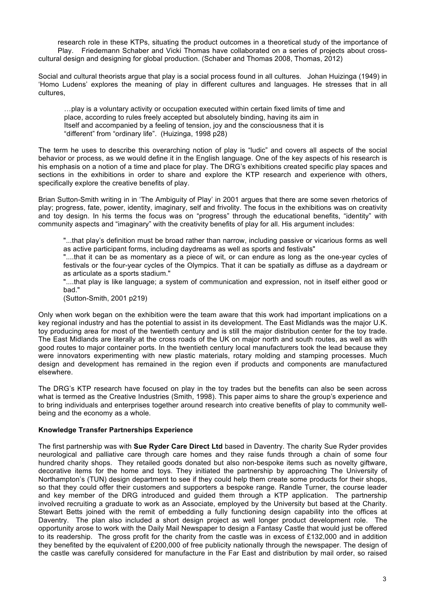research role in these KTPs, situating the product outcomes in a theoretical study of the importance of Play. Friedemann Schaber and Vicki Thomas have collaborated on a series of projects about crosscultural design and designing for global production. (Schaber and Thomas 2008, Thomas, 2012)

Social and cultural theorists argue that play is a social process found in all cultures. Johan Huizinga (1949) in 'Homo Ludens' explores the meaning of play in different cultures and languages. He stresses that in all cultures,

…play is a voluntary activity or occupation executed within certain fixed limits of time and place, according to rules freely accepted but absolutely binding, having its aim in Itself and accompanied by a feeling of tension, joy and the consciousness that it is "different" from "ordinary life". (Huizinga, 1998 p28)

The term he uses to describe this overarching notion of play is "ludic" and covers all aspects of the social behavior or process, as we would define it in the English language. One of the key aspects of his research is his emphasis on a notion of a time and place for play. The DRG's exhibitions created specific play spaces and sections in the exhibitions in order to share and explore the KTP research and experience with others, specifically explore the creative benefits of play.

Brian Sutton-Smith writing in in 'The Ambiguity of Play' in 2001 argues that there are some seven rhetorics of play; progress, fate, power, identity, imaginary, self and frivolity. The focus in the exhibitions was on creativity and toy design. In his terms the focus was on "progress" through the educational benefits, "identity" with community aspects and "imaginary" with the creativity benefits of play for all. His argument includes:

"...that play's definition must be broad rather than narrow, including passive or vicarious forms as well as active participant forms, including daydreams as well as sports and festivals"

"....that it can be as momentary as a piece of wit, or can endure as long as the one-year cycles of festivals or the four-year cycles of the Olympics. That it can be spatially as diffuse as a daydream or as articulate as a sports stadium."

"....that play is like language; a system of communication and expression, not in itself either good or bad."

(Sutton-Smith, 2001 p219)

Only when work began on the exhibition were the team aware that this work had important implications on a key regional industry and has the potential to assist in its development. The East Midlands was the major U.K. toy producing area for most of the twentieth century and is still the major distribution center for the toy trade. The East Midlands are literally at the cross roads of the UK on major north and south routes, as well as with good routes to major container ports. In the twentieth century local manufacturers took the lead because they were innovators experimenting with new plastic materials, rotary molding and stamping processes. Much design and development has remained in the region even if products and components are manufactured elsewhere.

The DRG's KTP research have focused on play in the toy trades but the benefits can also be seen across what is termed as the Creative Industries (Smith, 1998). This paper aims to share the group's experience and to bring individuals and enterprises together around research into creative benefits of play to community wellbeing and the economy as a whole.

## **Knowledge Transfer Partnerships Experience**

The first partnership was with **Sue Ryder Care Direct Ltd** based in Daventry. The charity Sue Ryder provides neurological and palliative care through care homes and they raise funds through a chain of some four hundred charity shops. They retailed goods donated but also non-bespoke items such as novelty giftware, decorative items for the home and toys. They initiated the partnership by approaching The University of Northampton's (TUN) design department to see if they could help them create some products for their shops, so that they could offer their customers and supporters a bespoke range. Randle Turner, the course leader and key member of the DRG introduced and guided them through a KTP application. The partnership involved recruiting a graduate to work as an Associate, employed by the University but based at the Charity. Stewart Betts joined with the remit of embedding a fully functioning design capability into the offices at Daventry. The plan also included a short design project as well longer product development role. The opportunity arose to work with the Daily Mail Newspaper to design a Fantasy Castle that would just be offered to its readership. The gross profit for the charity from the castle was in excess of £132,000 and in addition they benefited by the equivalent of £200,000 of free publicity nationally through the newspaper. The design of the castle was carefully considered for manufacture in the Far East and distribution by mail order, so raised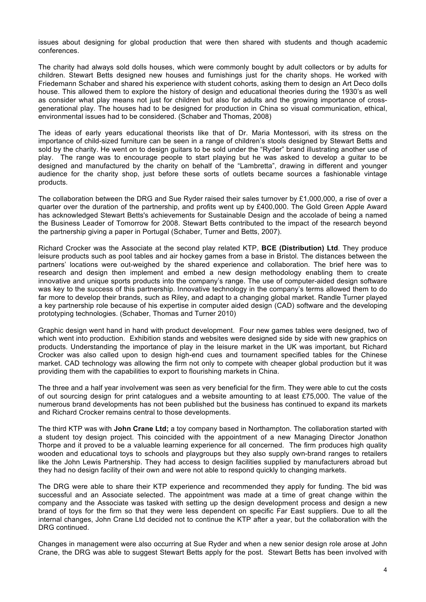issues about designing for global production that were then shared with students and though academic conferences.

The charity had always sold dolls houses, which were commonly bought by adult collectors or by adults for children. Stewart Betts designed new houses and furnishings just for the charity shops. He worked with Friedemann Schaber and shared his experience with student cohorts, asking them to design an Art Deco dolls house. This allowed them to explore the history of design and educational theories during the 1930's as well as consider what play means not just for children but also for adults and the growing importance of crossgenerational play. The houses had to be designed for production in China so visual communication, ethical, environmental issues had to be considered. (Schaber and Thomas, 2008)

The ideas of early years educational theorists like that of Dr. Maria Montessori, with its stress on the importance of child-sized furniture can be seen in a range of children's stools designed by Stewart Betts and sold by the charity. He went on to design guitars to be sold under the "Ryder" brand illustrating another use of play. The range was to encourage people to start playing but he was asked to develop a guitar to be designed and manufactured by the charity on behalf of the "Lambretta", drawing in different and younger audience for the charity shop, just before these sorts of outlets became sources a fashionable vintage products.

The collaboration between the DRG and Sue Ryder raised their sales turnover by £1,000,000, a rise of over a quarter over the duration of the partnership, and profits went up by £400,000. The Gold Green Apple Award has acknowledged Stewart Betts's achievements for Sustainable Design and the accolade of being a named the Business Leader of Tomorrow for 2008. Stewart Betts contributed to the impact of the research beyond the partnership giving a paper in Portugal (Schaber, Turner and Betts, 2007).

Richard Crocker was the Associate at the second play related KTP, **BCE (Distribution) Ltd**. They produce leisure products such as pool tables and air hockey games from a base in Bristol. The distances between the partners' locations were out-weighed by the shared experience and collaboration. The brief here was to research and design then implement and embed a new design methodology enabling them to create innovative and unique sports products into the company's range. The use of computer-aided design software was key to the success of this partnership. Innovative technology in the company's terms allowed them to do far more to develop their brands, such as Riley, and adapt to a changing global market. Randle Turner played a key partnership role because of his expertise in computer aided design (CAD) software and the developing prototyping technologies. (Schaber, Thomas and Turner 2010)

Graphic design went hand in hand with product development. Four new games tables were designed, two of which went into production. Exhibition stands and websites were designed side by side with new graphics on products. Understanding the importance of play in the leisure market in the UK was important, but Richard Crocker was also called upon to design high-end cues and tournament specified tables for the Chinese market. CAD technology was allowing the firm not only to compete with cheaper global production but it was providing them with the capabilities to export to flourishing markets in China.

The three and a half year involvement was seen as very beneficial for the firm. They were able to cut the costs of out sourcing design for print catalogues and a website amounting to at least £75,000. The value of the numerous brand developments has not been published but the business has continued to expand its markets and Richard Crocker remains central to those developments.

The third KTP was with **John Crane Ltd;** a toy company based in Northampton. The collaboration started with a student toy design project. This coincided with the appointment of a new Managing Director Jonathon Thorpe and it proved to be a valuable learning experience for all concerned. The firm produces high quality wooden and educational toys to schools and playgroups but they also supply own-brand ranges to retailers like the John Lewis Partnership. They had access to design facilities supplied by manufacturers abroad but they had no design facility of their own and were not able to respond quickly to changing markets.

The DRG were able to share their KTP experience and recommended they apply for funding. The bid was successful and an Associate selected. The appointment was made at a time of great change within the company and the Associate was tasked with setting up the design development process and design a new brand of toys for the firm so that they were less dependent on specific Far East suppliers. Due to all the internal changes, John Crane Ltd decided not to continue the KTP after a year, but the collaboration with the DRG continued.

Changes in management were also occurring at Sue Ryder and when a new senior design role arose at John Crane, the DRG was able to suggest Stewart Betts apply for the post. Stewart Betts has been involved with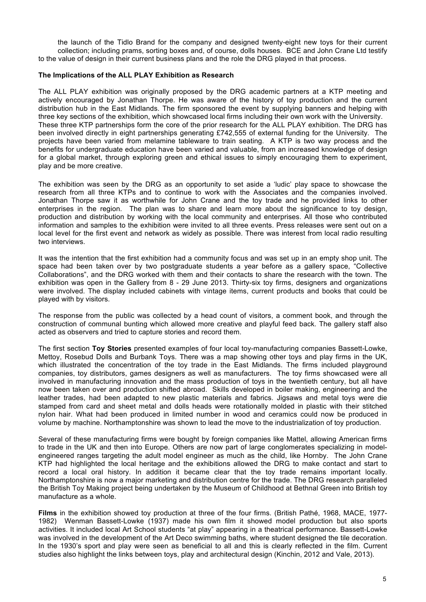the launch of the Tidlo Brand for the company and designed twenty-eight new toys for their current collection; including prams, sorting boxes and, of course, dolls houses. BCE and John Crane Ltd testify to the value of design in their current business plans and the role the DRG played in that process.

## **The Implications of the ALL PLAY Exhibition as Research**

The ALL PLAY exhibition was originally proposed by the DRG academic partners at a KTP meeting and actively encouraged by Jonathan Thorpe. He was aware of the history of toy production and the current distribution hub in the East Midlands. The firm sponsored the event by supplying banners and helping with three key sections of the exhibition, which showcased local firms including their own work with the University. These three KTP partnerships form the core of the prior research for the ALL PLAY exhibition. The DRG has been involved directly in eight partnerships generating £742,555 of external funding for the University. The projects have been varied from melamine tableware to train seating. A KTP is two way process and the benefits for undergraduate education have been varied and valuable, from an increased knowledge of design for a global market, through exploring green and ethical issues to simply encouraging them to experiment, play and be more creative.

The exhibition was seen by the DRG as an opportunity to set aside a 'ludic' play space to showcase the research from all three KTPs and to continue to work with the Associates and the companies involved. Jonathan Thorpe saw it as worthwhile for John Crane and the toy trade and he provided links to other enterprises in the region. The plan was to share and learn more about the significance to toy design, production and distribution by working with the local community and enterprises. All those who contributed information and samples to the exhibition were invited to all three events. Press releases were sent out on a local level for the first event and network as widely as possible. There was interest from local radio resulting two interviews.

It was the intention that the first exhibition had a community focus and was set up in an empty shop unit. The space had been taken over by two postgraduate students a year before as a gallery space, "Collective Collaborations", and the DRG worked with them and their contacts to share the research with the town. The exhibition was open in the Gallery from 8 - 29 June 2013. Thirty-six toy firms, designers and organizations were involved. The display included cabinets with vintage items, current products and books that could be played with by visitors.

The response from the public was collected by a head count of visitors, a comment book, and through the construction of communal bunting which allowed more creative and playful feed back. The gallery staff also acted as observers and tried to capture stories and record them.

The first section **Toy Stories** presented examples of four local toy-manufacturing companies Bassett-Lowke, Mettoy, Rosebud Dolls and Burbank Toys. There was a map showing other toys and play firms in the UK, which illustrated the concentration of the toy trade in the East Midlands. The firms included playground companies, toy distributors, games designers as well as manufacturers. The toy firms showcased were all involved in manufacturing innovation and the mass production of toys in the twentieth century, but all have now been taken over and production shifted abroad. Skills developed in boiler making, engineering and the leather trades, had been adapted to new plastic materials and fabrics. Jigsaws and metal toys were die stamped from card and sheet metal and dolls heads were rotationally molded in plastic with their stitched nylon hair. What had been produced in limited number in wood and ceramics could now be produced in volume by machine. Northamptonshire was shown to lead the move to the industrialization of toy production.

Several of these manufacturing firms were bought by foreign companies like Mattel, allowing American firms to trade in the UK and then into Europe. Others are now part of large conglomerates specializing in modelengineered ranges targeting the adult model engineer as much as the child, like Hornby. The John Crane KTP had highlighted the local heritage and the exhibitions allowed the DRG to make contact and start to record a local oral history. In addition it became clear that the toy trade remains important locally. Northamptonshire is now a major marketing and distribution centre for the trade. The DRG research paralleled the British Toy Making project being undertaken by the Museum of Childhood at Bethnal Green into British toy manufacture as a whole.

**Films** in the exhibition showed toy production at three of the four firms. (British Pathé, 1968, MACE, 1977- 1982) Wenman Bassett-Lowke (1937) made his own film it showed model production but also sports activities. It included local Art School students "at play" appearing in a theatrical performance. Bassett-Lowke was involved in the development of the Art Deco swimming baths, where student designed the tile decoration. In the 1930's sport and play were seen as beneficial to all and this is clearly reflected in the film. Current studies also highlight the links between toys, play and architectural design (Kinchin, 2012 and Vale, 2013).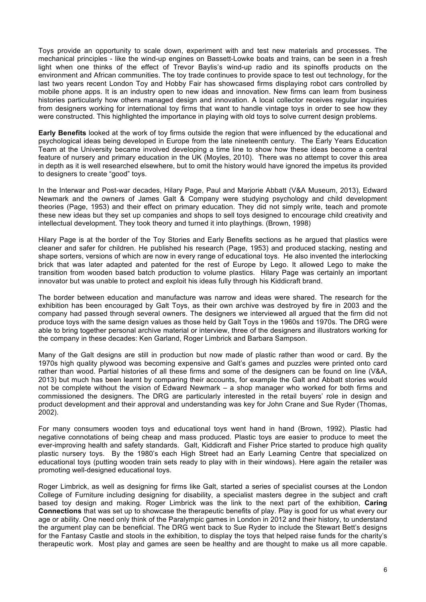Toys provide an opportunity to scale down, experiment with and test new materials and processes. The mechanical principles - like the wind-up engines on Bassett-Lowke boats and trains, can be seen in a fresh light when one thinks of the effect of Trevor Baylis's wind-up radio and its spinoffs products on the environment and African communities. The toy trade continues to provide space to test out technology, for the last two years recent London Toy and Hobby Fair has showcased firms displaying robot cars controlled by mobile phone apps. It is an industry open to new ideas and innovation. New firms can learn from business histories particularly how others managed design and innovation. A local collector receives regular inquiries from designers working for international toy firms that want to handle vintage toys in order to see how they were constructed. This highlighted the importance in playing with old toys to solve current design problems.

**Early Benefits** looked at the work of toy firms outside the region that were influenced by the educational and psychological ideas being developed in Europe from the late nineteenth century. The Early Years Education Team at the University became involved developing a time line to show how these ideas become a central feature of nursery and primary education in the UK (Moyles, 2010). There was no attempt to cover this area in depth as it is well researched elsewhere, but to omit the history would have ignored the impetus its provided to designers to create "good" toys.

In the Interwar and Post-war decades, Hilary Page, Paul and Marjorie Abbatt (V&A Museum, 2013), Edward Newmark and the owners of James Galt & Company were studying psychology and child development theories (Page, 1953) and their effect on primary education. They did not simply write, teach and promote these new ideas but they set up companies and shops to sell toys designed to encourage child creativity and intellectual development. They took theory and turned it into playthings. (Brown, 1998)

Hilary Page is at the border of the Toy Stories and Early Benefits sections as he argued that plastics were cleaner and safer for children. He published his research (Page, 1953) and produced stacking, nesting and shape sorters, versions of which are now in every range of educational toys. He also invented the interlocking brick that was later adapted and patented for the rest of Europe by Lego. It allowed Lego to make the transition from wooden based batch production to volume plastics. Hilary Page was certainly an important innovator but was unable to protect and exploit his ideas fully through his Kiddicraft brand.

The border between education and manufacture was narrow and ideas were shared. The research for the exhibition has been encouraged by Galt Toys, as their own archive was destroyed by fire in 2003 and the company had passed through several owners. The designers we interviewed all argued that the firm did not produce toys with the same design values as those held by Galt Toys in the 1960s and 1970s. The DRG were able to bring together personal archive material or interview, three of the designers and illustrators working for the company in these decades: Ken Garland, Roger Limbrick and Barbara Sampson.

Many of the Galt designs are still in production but now made of plastic rather than wood or card. By the 1970s high quality plywood was becoming expensive and Galt's games and puzzles were printed onto card rather than wood. Partial histories of all these firms and some of the designers can be found on line (V&A, 2013) but much has been learnt by comparing their accounts, for example the Galt and Abbatt stories would not be complete without the vision of Edward Newmark – a shop manager who worked for both firms and commissioned the designers. The DRG are particularly interested in the retail buyers' role in design and product development and their approval and understanding was key for John Crane and Sue Ryder (Thomas, 2002).

For many consumers wooden toys and educational toys went hand in hand (Brown, 1992). Plastic had negative connotations of being cheap and mass produced. Plastic toys are easier to produce to meet the ever-improving health and safety standards. Galt, Kiddicraft and Fisher Price started to produce high quality plastic nursery toys. By the 1980's each High Street had an Early Learning Centre that specialized on educational toys (putting wooden train sets ready to play with in their windows). Here again the retailer was promoting well-designed educational toys.

Roger Limbrick, as well as designing for firms like Galt, started a series of specialist courses at the London College of Furniture including designing for disability, a specialist masters degree in the subject and craft based toy design and making. Roger Limbrick was the link to the next part of the exhibition, **Caring Connections** that was set up to showcase the therapeutic benefits of play. Play is good for us what every our age or ability. One need only think of the Paralympic games in London in 2012 and their history, to understand the argument play can be beneficial. The DRG went back to Sue Ryder to include the Stewart Bett's designs for the Fantasy Castle and stools in the exhibition, to display the toys that helped raise funds for the charity's therapeutic work. Most play and games are seen be healthy and are thought to make us all more capable.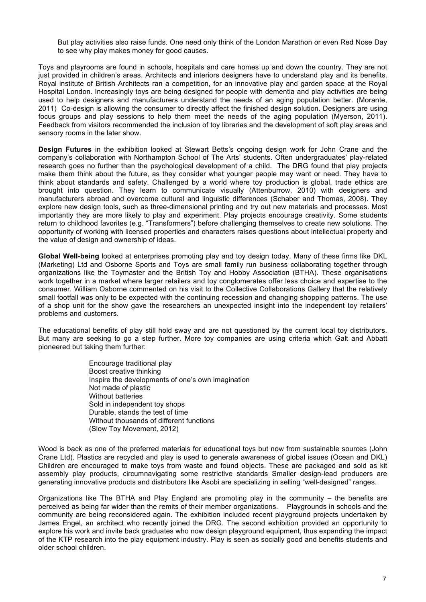But play activities also raise funds. One need only think of the London Marathon or even Red Nose Day to see why play makes money for good causes.

Toys and playrooms are found in schools, hospitals and care homes up and down the country. They are not just provided in children's areas. Architects and interiors designers have to understand play and its benefits. Royal institute of British Architects ran a competition, for an innovative play and garden space at the Royal Hospital London. Increasingly toys are being designed for people with dementia and play activities are being used to help designers and manufacturers understand the needs of an aging population better. (Morante, 2011) Co-design is allowing the consumer to directly affect the finished design solution. Designers are using focus groups and play sessions to help them meet the needs of the aging population (Myerson, 2011). Feedback from visitors recommended the inclusion of toy libraries and the development of soft play areas and sensory rooms in the later show.

**Design Futures** in the exhibition looked at Stewart Betts's ongoing design work for John Crane and the company's collaboration with Northampton School of The Arts' students. Often undergraduates' play-related research goes no further than the psychological development of a child. The DRG found that play projects make them think about the future, as they consider what younger people may want or need. They have to think about standards and safety. Challenged by a world where toy production is global, trade ethics are brought into question. They learn to communicate visually (Attenburrow, 2010) with designers and manufacturers abroad and overcome cultural and linguistic differences (Schaber and Thomas, 2008). They explore new design tools, such as three-dimensional printing and try out new materials and processes. Most importantly they are more likely to play and experiment. Play projects encourage creativity. Some students return to childhood favorites (e.g. "Transformers") before challenging themselves to create new solutions. The opportunity of working with licensed properties and characters raises questions about intellectual property and the value of design and ownership of ideas.

**Global Well-being** looked at enterprises promoting play and toy design today. Many of these firms like DKL (Marketing) Ltd and Osborne Sports and Toys are small family run business collaborating together through organizations like the Toymaster and the British Toy and Hobby Association (BTHA). These organisations work together in a market where larger retailers and toy conglomerates offer less choice and expertise to the consumer. William Osborne commented on his visit to the Collective Collaborations Gallery that the relatively small footfall was only to be expected with the continuing recession and changing shopping patterns. The use of a shop unit for the show gave the researchers an unexpected insight into the independent toy retailers' problems and customers.

The educational benefits of play still hold sway and are not questioned by the current local toy distributors. But many are seeking to go a step further. More toy companies are using criteria which Galt and Abbatt pioneered but taking them further:

> Encourage traditional play Boost creative thinking Inspire the developments of one's own imagination Not made of plastic Without batteries Sold in independent toy shops Durable, stands the test of time Without thousands of different functions (Slow Toy Movement, 2012)

Wood is back as one of the preferred materials for educational toys but now from sustainable sources (John Crane Ltd). Plastics are recycled and play is used to generate awareness of global issues (Ocean and DKL) Children are encouraged to make toys from waste and found objects. These are packaged and sold as kit assembly play products, circumnavigating some restrictive standards Smaller design-lead producers are generating innovative products and distributors like Asobi are specializing in selling "well-designed" ranges.

Organizations like The BTHA and Play England are promoting play in the community – the benefits are perceived as being far wider than the remits of their member organizations. Playgrounds in schools and the community are being reconsidered again. The exhibition included recent playground projects undertaken by James Engel, an architect who recently joined the DRG. The second exhibition provided an opportunity to explore his work and invite back graduates who now design playground equipment, thus expanding the impact of the KTP research into the play equipment industry. Play is seen as socially good and benefits students and older school children.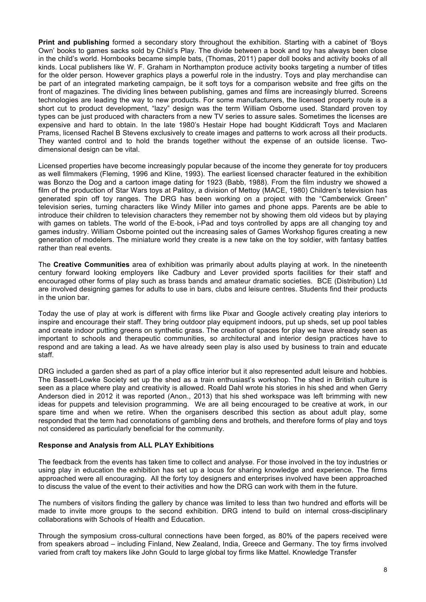**Print and publishing** formed a secondary story throughout the exhibition. Starting with a cabinet of 'Boys Own' books to games sacks sold by Child's Play. The divide between a book and toy has always been close in the child's world. Hornbooks became simple bats, (Thomas, 2011) paper doll books and activity books of all kinds. Local publishers like W. F. Graham in Northampton produce activity books targeting a number of titles for the older person. However graphics plays a powerful role in the industry. Toys and play merchandise can be part of an integrated marketing campaign, be it soft toys for a comparison website and free gifts on the front of magazines. The dividing lines between publishing, games and films are increasingly blurred. Screens technologies are leading the way to new products. For some manufacturers, the licensed property route is a short cut to product development, "lazy" design was the term William Osborne used. Standard proven toy types can be just produced with characters from a new TV series to assure sales. Sometimes the licenses are expensive and hard to obtain. In the late 1980's Hestair Hope had bought Kiddicraft Toys and Maclaren Prams, licensed Rachel B Stevens exclusively to create images and patterns to work across all their products. They wanted control and to hold the brands together without the expense of an outside license. Twodimensional design can be vital.

Licensed properties have become increasingly popular because of the income they generate for toy producers as well filmmakers (Fleming, 1996 and Kline, 1993). The earliest licensed character featured in the exhibition was Bonzo the Dog and a cartoon image dating for 1923 (Babb, 1988). From the film industry we showed a film of the production of Star Wars toys at Palitoy, a division of Mettoy (MACE, 1980) Children's television has generated spin off toy ranges. The DRG has been working on a project with the "Camberwick Green" television series, turning characters like Windy Miller into games and phone apps. Parents are be able to introduce their children to television characters they remember not by showing them old videos but by playing with games on tablets. The world of the E-book, i-Pad and toys controlled by apps are all changing toy and games industry. William Osborne pointed out the increasing sales of Games Workshop figures creating a new generation of modelers. The miniature world they create is a new take on the toy soldier, with fantasy battles rather than real events.

The **Creative Communities** area of exhibition was primarily about adults playing at work. In the nineteenth century forward looking employers like Cadbury and Lever provided sports facilities for their staff and encouraged other forms of play such as brass bands and amateur dramatic societies. BCE (Distribution) Ltd are involved designing games for adults to use in bars, clubs and leisure centres. Students find their products in the union bar.

Today the use of play at work is different with firms like Pixar and Google actively creating play interiors to inspire and encourage their staff. They bring outdoor play equipment indoors, put up sheds, set up pool tables and create indoor putting greens on synthetic grass. The creation of spaces for play we have already seen as important to schools and therapeutic communities, so architectural and interior design practices have to respond and are taking a lead. As we have already seen play is also used by business to train and educate staff.

DRG included a garden shed as part of a play office interior but it also represented adult leisure and hobbies. The Bassett-Lowke Society set up the shed as a train enthusiast's workshop. The shed in British culture is seen as a place where play and creativity is allowed. Roald Dahl wrote his stories in his shed and when Gerry Anderson died in 2012 it was reported (Anon., 2013) that his shed workspace was left brimming with new ideas for puppets and television programming. We are all being encouraged to be creative at work, in our spare time and when we retire. When the organisers described this section as about adult play, some responded that the term had connotations of gambling dens and brothels, and therefore forms of play and toys not considered as particularly beneficial for the community.

#### **Response and Analysis from ALL PLAY Exhibitions**

The feedback from the events has taken time to collect and analyse. For those involved in the toy industries or using play in education the exhibition has set up a locus for sharing knowledge and experience. The firms approached were all encouraging. All the forty toy designers and enterprises involved have been approached to discuss the value of the event to their activities and how the DRG can work with them in the future.

The numbers of visitors finding the gallery by chance was limited to less than two hundred and efforts will be made to invite more groups to the second exhibition. DRG intend to build on internal cross-disciplinary collaborations with Schools of Health and Education.

Through the symposium cross-cultural connections have been forged, as 80% of the papers received were from speakers abroad – including Finland, New Zealand, India, Greece and Germany. The toy firms involved varied from craft toy makers like John Gould to large global toy firms like Mattel. Knowledge Transfer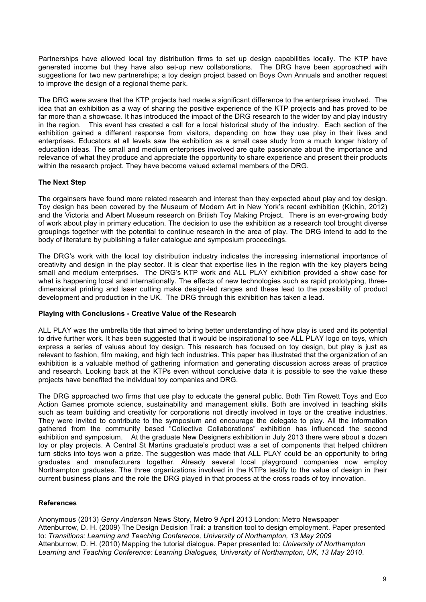Partnerships have allowed local toy distribution firms to set up design capabilities locally. The KTP have generated income but they have also set-up new collaborations. The DRG have been approached with suggestions for two new partnerships; a toy design project based on Boys Own Annuals and another request to improve the design of a regional theme park.

The DRG were aware that the KTP projects had made a significant difference to the enterprises involved. The idea that an exhibition as a way of sharing the positive experience of the KTP projects and has proved to be far more than a showcase. It has introduced the impact of the DRG research to the wider toy and play industry in the region. This event has created a call for a local historical study of the industry. Each section of the exhibition gained a different response from visitors, depending on how they use play in their lives and enterprises. Educators at all levels saw the exhibition as a small case study from a much longer history of education ideas. The small and medium enterprises involved are quite passionate about the importance and relevance of what they produce and appreciate the opportunity to share experience and present their products within the research project. They have become valued external members of the DRG.

## **The Next Step**

The orgainsers have found more related research and interest than they expected about play and toy design. Toy design has been covered by the Museum of Modern Art in New York's recent exhibition (Kichin, 2012) and the Victoria and Albert Museum research on British Toy Making Project. There is an ever-growing body of work about play in primary education. The decision to use the exhibition as a research tool brought diverse groupings together with the potential to continue research in the area of play. The DRG intend to add to the body of literature by publishing a fuller catalogue and symposium proceedings.

The DRG's work with the local toy distribution industry indicates the increasing international importance of creativity and design in the play sector. It is clear that expertise lies in the region with the key players being small and medium enterprises. The DRG's KTP work and ALL PLAY exhibition provided a show case for what is happening local and internationally. The effects of new technologies such as rapid prototyping, threedimensional printing and laser cutting make design-led ranges and these lead to the possibility of product development and production in the UK. The DRG through this exhibition has taken a lead.

## **Playing with Conclusions - Creative Value of the Research**

ALL PLAY was the umbrella title that aimed to bring better understanding of how play is used and its potential to drive further work. It has been suggested that it would be inspirational to see ALL PLAY logo on toys, which express a series of values about toy design. This research has focused on toy design, but play is just as relevant to fashion, film making, and high tech industries. This paper has illustrated that the organization of an exhibition is a valuable method of gathering information and generating discussion across areas of practice and research. Looking back at the KTPs even without conclusive data it is possible to see the value these projects have benefited the individual toy companies and DRG.

The DRG approached two firms that use play to educate the general public. Both Tim Rowett Toys and Eco Action Games promote science, sustainability and management skills. Both are involved in teaching skills such as team building and creativity for corporations not directly involved in toys or the creative industries. They were invited to contribute to the symposium and encourage the delegate to play. All the information gathered from the community based "Collective Collaborations" exhibition has influenced the second exhibition and symposium. At the graduate New Designers exhibition in July 2013 there were about a dozen toy or play projects. A Central St Martins graduate's product was a set of components that helped children turn sticks into toys won a prize. The suggestion was made that ALL PLAY could be an opportunity to bring graduates and manufacturers together. Already several local playground companies now employ Northampton graduates. The three organizations involved in the KTPs testify to the value of design in their current business plans and the role the DRG played in that process at the cross roads of toy innovation.

# **References**

Anonymous (2013) *Gerry Anderson* News Story, Metro 9 April 2013 London: Metro Newspaper Attenburrow, D. H. (2009) The Design Decision Trail: a transition tool to design employment. Paper presented to: *Transitions: Learning and Teaching Conference, University of Northampton, 13 May 2009* Attenburrow, D. H. (2010) Mapping the tutorial dialogue. Paper presented to: *University of Northampton Learning and Teaching Conference: Learning Dialogues, University of Northampton, UK, 13 May 2010*.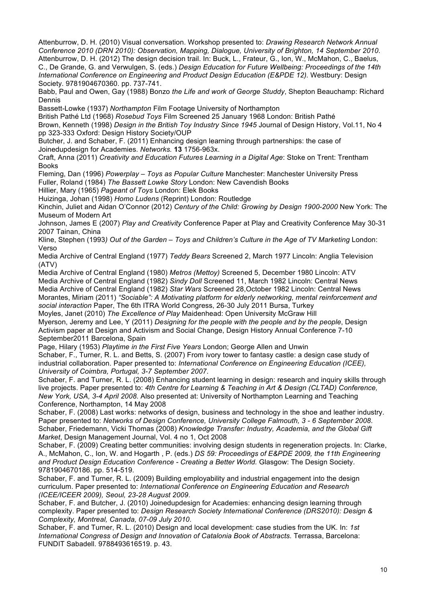Attenburrow, D. H. (2010) Visual conversation. Workshop presented to: *Drawing Research Network Annual Conference 2010 (DRN 2010): Observation, Mapping, Dialogue, University of Brighton, 14 September 2010*. Attenburrow, D. H. (2012) The design decision trail. In: Buck, L., Frateur, G., Ion, W., McMahon, C., Baelus,

C., De Grande, G. and Verwulgen, S. (eds.) *Design Education for Future Wellbeing: Proceedings of the 14th International Conference on Engineering and Product Design Education (E&PDE 12).* Westbury: Design Society. 9781904670360. pp. 737-741.

Babb, Paul and Owen, Gay (1988) Bonzo *the Life and work of George Studdy*, Shepton Beauchamp: Richard Dennis

Bassett-Lowke (1937) *Northampton* Film Footage University of Northampton

British Pathé Ltd (1968) *Rosebud Toys* Film Screened 25 January 1968 London: British Pathé

Brown, Kenneth (1998) *Design in the British Toy Industry Since 1945* Journal of Design History, Vol.11, No 4 pp 323-333 Oxford: Design History Society/OUP

Butcher, J. and Schaber, F. (2011) Enhancing design learning through partnerships: the case of Joinedupdesign for Academies. *Networks.* **13** 1756-963x.

Craft, Anna (2011) *Creativity and Education Futures Learning in a Digital Age*: Stoke on Trent: Trentham Books

Fleming, Dan (1996) *Powerplay – Toys as Popular Culture* Manchester: Manchester University Press Fuller, Roland (1984) *The Bassett Lowke Story* London: New Cavendish Books

Hillier, Mary (1965) *Pageant of Toys* London: Elek Books

Huizinga, Johan (1998) *Homo Ludens* (Reprint) London: Routledge

Kinchin, Juliet and Aidan O'Connor (2012) *Century of the Child: Growing by Design 1900-2000* New York: The Museum of Modern Art

Johnson, James E (2007) *Play and Creativity* Conference Paper at Play and Creativity Conference May 30-31 2007 Tainan, China

Kline, Stephen (1993*) Out of the Garden – Toys and Children's Culture in the Age of TV Marketing* London: Verso

Media Archive of Central England (1977) *Teddy Bears* Screened 2, March 1977 Lincoln: Anglia Television (ATV)

Media Archive of Central England (1980) *Metros (Mettoy)* Screened 5, December 1980 Lincoln: ATV Media Archive of Central England (1982) *Sindy Doll* Screened 11, March 1982 Lincoln: Central News Media Archive of Central England (1982) *Star Wars* Screened 28,October 1982 Lincoln: Central News Morantes, Miriam (2011) *"Sociable": A Motivating platform for elderly networking, mental reinforcement and social interaction* Paper, The 6th ITRA World Congress, 26-30 July 2011 Bursa, Turkey Moyles, Janet (2010) *The Excellence of Play* Maidenhead: Open University McGraw Hill

Myerson, Jeremy and Lee, Y (2011) *Designing for the people with the people and by the people*, Design Activism paper at Design and Activism and Social Change, Design History Annual Conference 7-10 September2011 Barcelona, Spain

Page, Hilary (1953) *Playtime in the First Five Years* London; George Allen and Unwin Schaber, F., Turner, R. L. and Betts, S. (2007) From ivory tower to fantasy castle: a design case study of industrial collaboration. Paper presented to: *International Conference on Engineering Education (ICEE), University of Coimbra, Portugal, 3-7 September 2007*.

Schaber, F. and Turner, R. L. (2008) Enhancing student learning in design: research and inquiry skills through live projects. Paper presented to: *4th Centre for Learning & Teaching in Art & Design (CLTAD) Conference, New York, USA, 3-4 April 2008*. Also presented at: University of Northampton Learning and Teaching Conference, Northampton, 14 May 2008

Schaber, F. (2008) Last works: networks of design, business and technology in the shoe and leather industry. Paper presented to: *Networks of Design Conference, University College Falmouth, 3 - 6 September 2008*. Schaber, Friedemann, Vicki Thomas (2008) *Knowledge Transfer: Industry, Academia, and the Global Gift Market*, Design Management Journal, Vol. 4 no 1, Oct 2008

Schaber, F. (2009) Creating better communities: involving design students in regeneration projects. In: Clarke, A., McMahon, C., Ion, W. and Hogarth , P. (eds.) *DS 59: Proceedings of E&PDE 2009, the 11th Engineering and Product Design Education Conference - Creating a Better World.* Glasgow: The Design Society. 9781904670186. pp. 514-519.

Schaber, F. and Turner, R. L. (2009) Building employability and industrial engagement into the design curriculum. Paper presented to: *International Conference on Engineering Education and Research (ICEE/ICEER 2009), Seoul, 23-28 August 2009*.

Schaber, F. and Butcher, J. (2010) Joinedupdesign for Academies: enhancing design learning through complexity. Paper presented to: *Design Research Society International Conference (DRS2010): Design & Complexity, Montreal, Canada, 07-09 July 2010*.

Schaber, F. and Turner, R. L. (2010) Design and local development: case studies from the UK. In: *1st International Congress of Design and Innovation of Catalonia Book of Abstracts.* Terrassa, Barcelona: FUNDIT Sabadell. 9788493616519. p. 43.